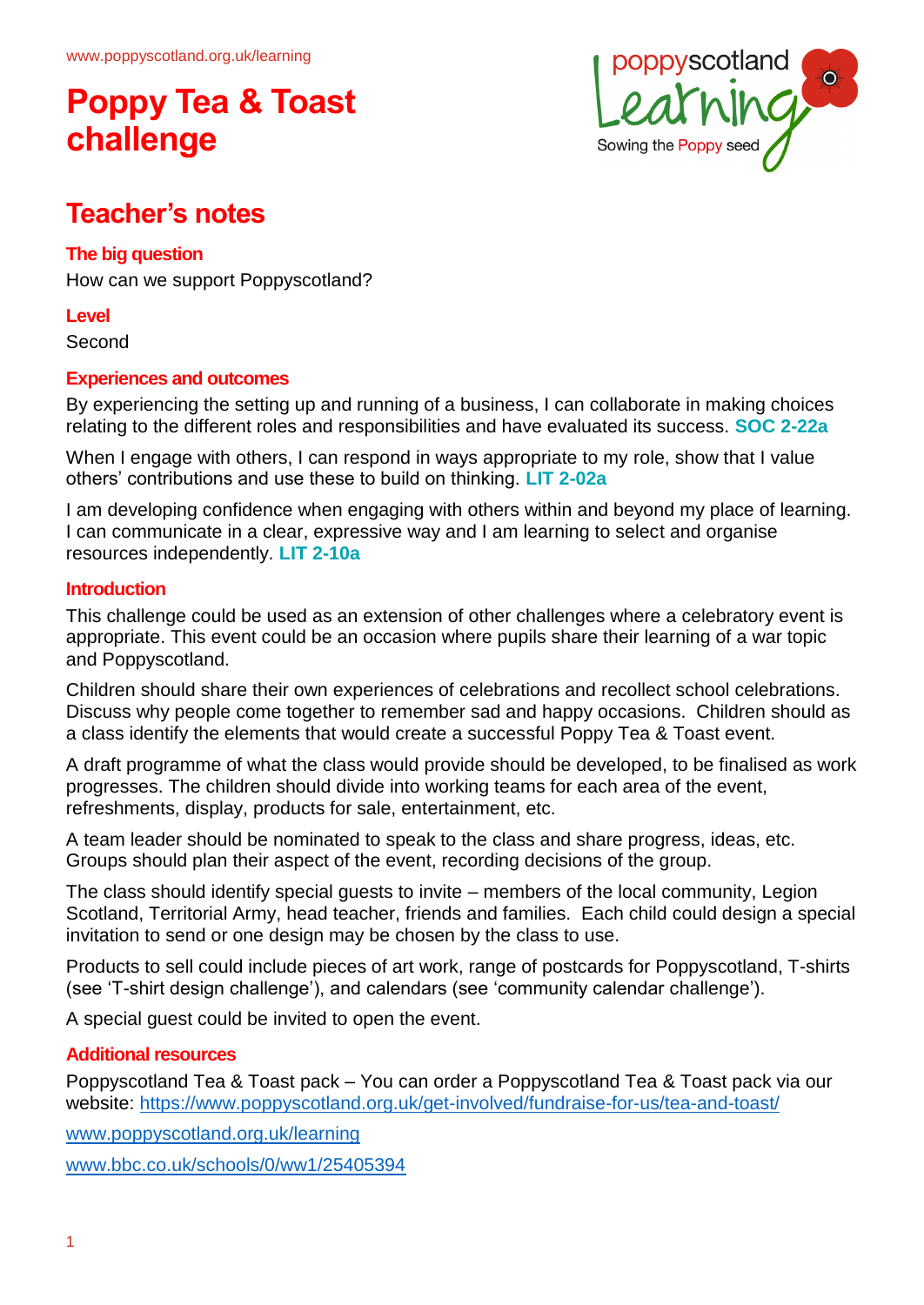

## **Teacher's notes**

#### **The big question**

How can we support Poppyscotland?

#### **Level**

Second

#### **Experiences and outcomes**

By experiencing the setting up and running of a business, I can collaborate in making choices relating to the different roles and responsibilities and have evaluated its success. **SOC 2-22a**

When I engage with others, I can respond in ways appropriate to my role, show that I value others' contributions and use these to build on thinking. **LIT 2-02a**

I am developing confidence when engaging with others within and beyond my place of learning. I can communicate in a clear, expressive way and I am learning to select and organise resources independently. **LIT 2-10a**

#### **Introduction**

This challenge could be used as an extension of other challenges where a celebratory event is appropriate. This event could be an occasion where pupils share their learning of a war topic and Poppyscotland.

Children should share their own experiences of celebrations and recollect school celebrations. Discuss why people come together to remember sad and happy occasions. Children should as a class identify the elements that would create a successful Poppy Tea & Toast event.

A draft programme of what the class would provide should be developed, to be finalised as work progresses. The children should divide into working teams for each area of the event, refreshments, display, products for sale, entertainment, etc.

A team leader should be nominated to speak to the class and share progress, ideas, etc. Groups should plan their aspect of the event, recording decisions of the group.

The class should identify special guests to invite – members of the local community, Legion Scotland, Territorial Army, head teacher, friends and families. Each child could design a special invitation to send or one design may be chosen by the class to use.

Products to sell could include pieces of art work, range of postcards for Poppyscotland, T-shirts (see 'T-shirt design challenge'), and calendars (see 'community calendar challenge').

A special guest could be invited to open the event.

#### **Additional resources**

Poppyscotland Tea & Toast pack – You can order a Poppyscotland Tea & Toast pack via our website:<https://www.poppyscotland.org.uk/get-involved/fundraise-for-us/tea-and-toast/>

[www.poppyscotland.org.uk/learning](http://www.poppyscotland.org.uk/learning)

[www.bbc.co.uk/schools/0/ww1/25405394](http://www.bbc.co.uk/schools/0/ww1/25405394)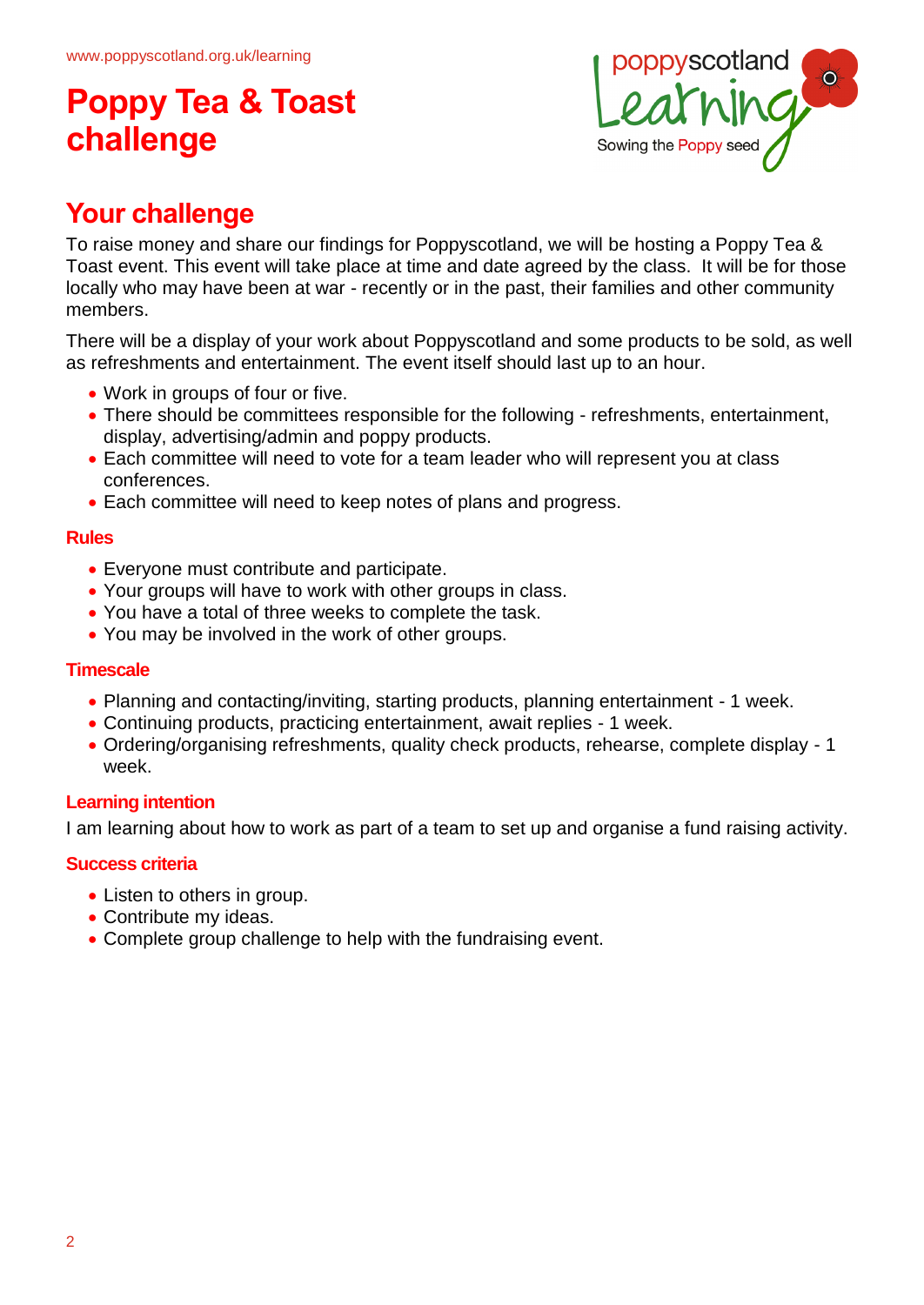

## **Your challenge**

To raise money and share our findings for Poppyscotland, we will be hosting a Poppy Tea & Toast event. This event will take place at time and date agreed by the class. It will be for those locally who may have been at war - recently or in the past, their families and other community members.

There will be a display of your work about Poppyscotland and some products to be sold, as well as refreshments and entertainment. The event itself should last up to an hour.

- Work in groups of four or five.
- There should be committees responsible for the following refreshments, entertainment, display, advertising/admin and poppy products.
- Each committee will need to vote for a team leader who will represent you at class conferences.
- Each committee will need to keep notes of plans and progress.

#### **Rules**

- Everyone must contribute and participate.
- Your groups will have to work with other groups in class.
- You have a total of three weeks to complete the task.
- You may be involved in the work of other groups.

#### **Timescale**

- Planning and contacting/inviting, starting products, planning entertainment 1 week.
- Continuing products, practicing entertainment, await replies 1 week.
- Ordering/organising refreshments, quality check products, rehearse, complete display 1 week.

#### **Learning intention**

I am learning about how to work as part of a team to set up and organise a fund raising activity.

#### **Success criteria**

- Listen to others in group.
- Contribute my ideas.
- Complete group challenge to help with the fundraising event.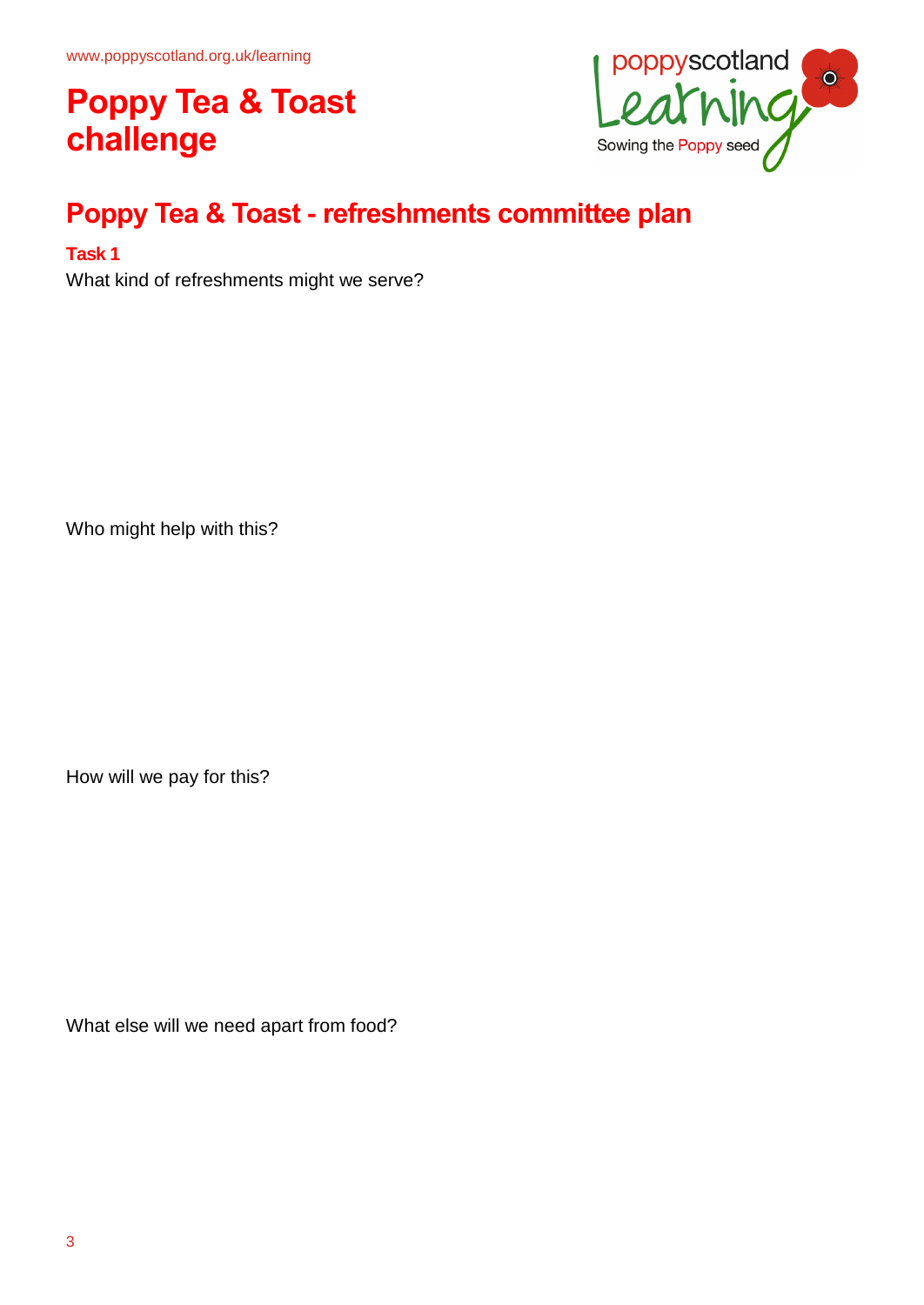

## **Poppy Tea & Toast - refreshments committee plan**

#### **Task 1**

What kind of refreshments might we serve?

Who might help with this?

How will we pay for this?

What else will we need apart from food?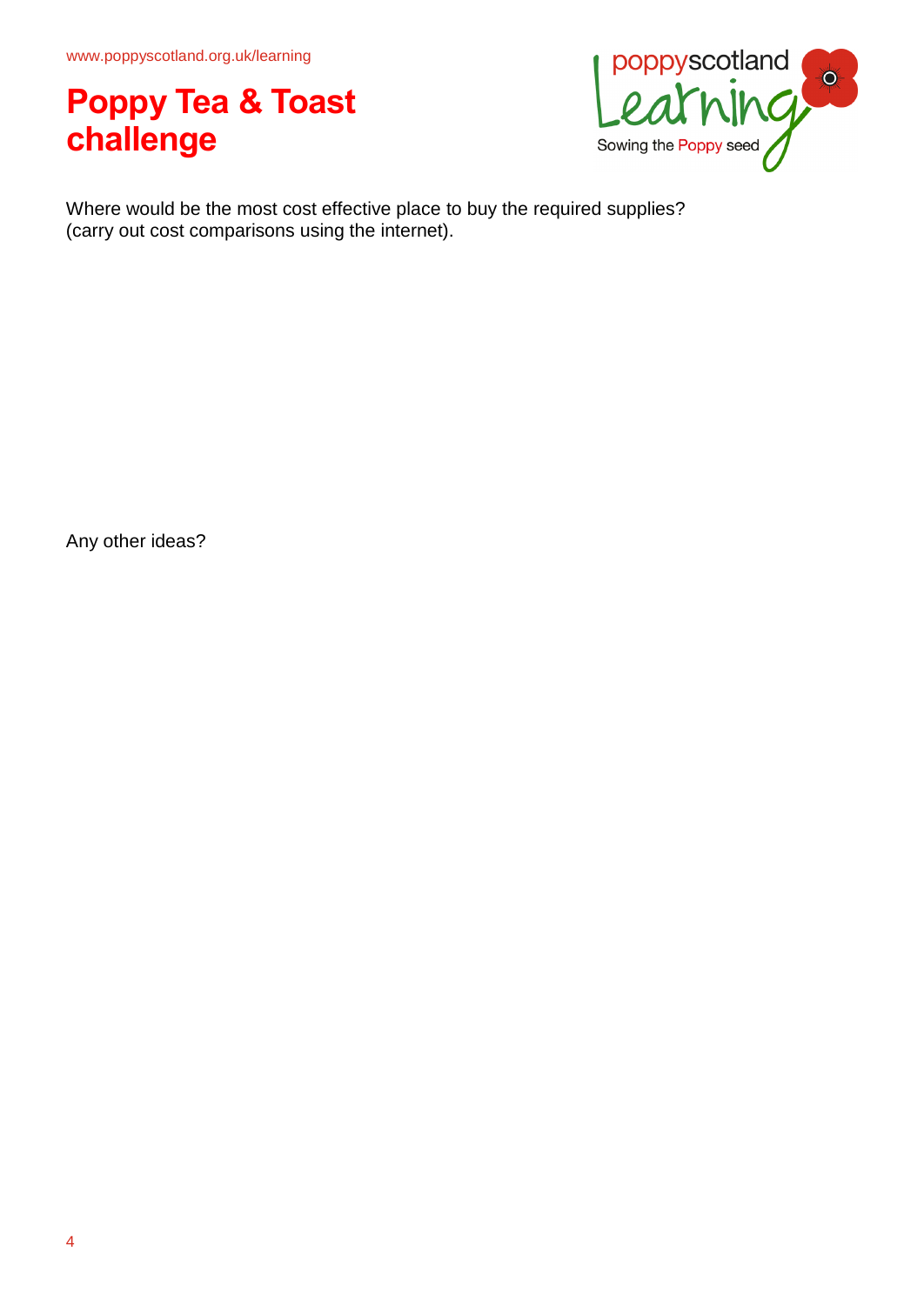www.poppyscotland.org.uk/learning

## **Poppy Tea & Toast challenge**



Where would be the most cost effective place to buy the required supplies? (carry out cost comparisons using the internet).

Any other ideas?